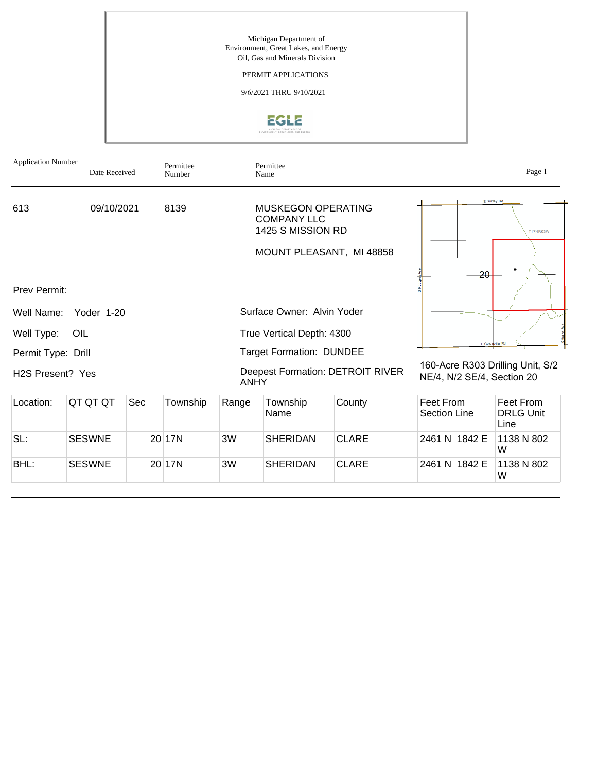## PERMIT APPLICATIONS

9/6/2021 THRU 9/10/2021



| <b>Application Number</b>     | Date Received |     | Permittee<br>Number |                                                 | Permittee<br>Name                                             |                          |                                                                | Page 1                                |
|-------------------------------|---------------|-----|---------------------|-------------------------------------------------|---------------------------------------------------------------|--------------------------|----------------------------------------------------------------|---------------------------------------|
| 613                           | 09/10/2021    |     | 8139                |                                                 | MUSKEGON OPERATING<br><b>COMPANY LLC</b><br>1425 S MISSION RD |                          |                                                                | E Surjey Rd<br><b>T17NR03W</b>        |
|                               |               |     |                     |                                                 |                                                               | MOUNT PLEASANT, MI 48858 |                                                                |                                       |
| <b>Prev Permit:</b>           |               |     |                     |                                                 |                                                               |                          | 20                                                             | ٠                                     |
| Well Name:                    | Yoder 1-20    |     |                     |                                                 | Surface Owner: Alvin Yoder                                    |                          |                                                                |                                       |
| Well Type:                    | OIL           |     |                     |                                                 | True Vertical Depth: 4300                                     |                          |                                                                |                                       |
| Permit Type: Drill            |               |     |                     |                                                 | <b>Target Formation: DUNDEE</b>                               |                          | E Colonville Rd                                                |                                       |
| H <sub>2</sub> S Present? Yes |               |     |                     | Deepest Formation: DETROIT RIVER<br><b>ANHY</b> |                                                               |                          | 160-Acre R303 Drilling Unit, S/2<br>NE/4, N/2 SE/4, Section 20 |                                       |
| Location:                     | QT QT QT      | Sec | Township            | Range                                           | Township<br>Name                                              | County                   | Feet From<br><b>Section Line</b>                               | Feet From<br><b>DRLG Unit</b><br>Line |
| SL:                           | <b>SESWNE</b> |     | 20 17N              | 3W                                              | SHERIDAN                                                      | <b>CLARE</b>             | 2461 N 1842 E                                                  | 1138 N 802<br>W                       |
| BHL:                          | <b>SESWNE</b> |     | 20 17N              | 3W                                              | <b>SHERIDAN</b>                                               | <b>CLARE</b>             | 2461 N 1842 E                                                  | 1138 N 802<br>W                       |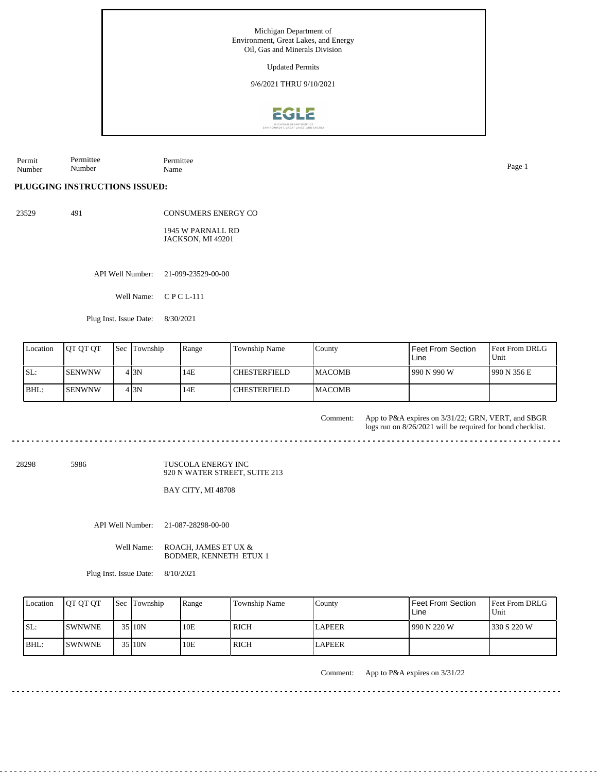Permit Number Permittee Number Permittee Name Page 1

**PLUGGING INSTRUCTIONS ISSUED:**

23529 491

CONSUMERS ENERGY CO 1945 W PARNALL RD JACKSON, MI 49201

API Well Number: 21-099-23529-00-00

Well Name: C P C L-111

Plug Inst. Issue Date: 8/30/2021

| Location | <b>IOT OT OT</b> | <b>Sec</b> Township | Range | Township Name       | County         | Feet From Section<br>Line | Feet From DRLG<br>Unit |
|----------|------------------|---------------------|-------|---------------------|----------------|---------------------------|------------------------|
| ISL:     | <b>I</b> SENWNW  | 4 I 3 N             | 14E   | <b>CHESTERFIELD</b> | <b>IMACOMB</b> | 990 N 990 W               | 1990 N 356 E           |
| BHL:     | <b>ISENWNW</b>   | 4 I 3 N             | 14E   | <b>CHESTERFIELD</b> | <b>IMACOMB</b> |                           |                        |

App to P&A expires on 3/31/22; GRN, VERT, and SBGR logs run on 8/26/2021 will be required for bond checklist. Comment:

28298 5986

TUSCOLA ENERGY INC 920 N WATER STREET, SUITE 213

BAY CITY, MI 48708

API Well Number: 21-087-28298-00-00

Well Name: ROACH, JAMES ET UX & BODMER, KENNETH ETUX 1

Plug Inst. Issue Date: 8/10/2021

| Location | <b>OT OT OT</b> | <b>Sec Township</b> | Range | Township Name | Countv        | <b>Feet From Section</b><br>Line | Feet From DRLG<br>Unit |
|----------|-----------------|---------------------|-------|---------------|---------------|----------------------------------|------------------------|
| SL:      | <b>ISWNWNE</b>  | 35 10N              | 10E   | <b>RICH</b>   | <b>LAPEER</b> | 990 N 220 W                      | 330 S 220 W            |
| $IBHL$ : | <b>ISWNWNE</b>  | 35 10N              | 10E   | RICH          | LAPEER        |                                  |                        |

Comment: App to P&A expires on 3/31/22

 $- - - - - -$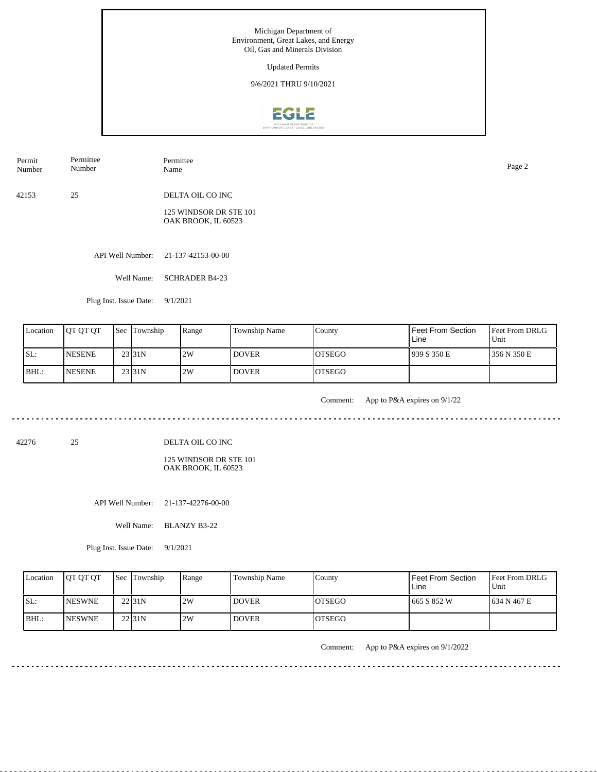

42153 25 DELTA OIL CO INC Permit Number Permittee Number Permittee Name Page 2

> 125 WINDSOR DR STE 101 OAK BROOK, IL 60523

API Well Number: 21-137-42153-00-00

Well Name: SCHRADER B4-23

Plug Inst. Issue Date: 9/1/2021

| Location | <b>IOT OT OT</b> | <b>Sec Township</b> | Range | Township Name | County         | Feet From Section<br>Line | <b>Feet From DRLG</b><br>Unit |
|----------|------------------|---------------------|-------|---------------|----------------|---------------------------|-------------------------------|
| ISL:     | <b>INESENE</b>   | 23 <sub>31N</sub>   | 2W    | <b>DOVER</b>  | <b>OTSEGO</b>  | 939 S 350 E               | 356 N 350 E                   |
| BHL:     | <b>INESENE</b>   | 23 <sub>131</sub> N | 2W    | <b>DOVER</b>  | <b>IOTSEGO</b> |                           |                               |

<u>. . . . . . . . .</u>

Comment: App to P&A expires on 9/1/22

<u>. . . . . . . .</u>

42276 25

DELTA OIL CO INC

125 WINDSOR DR STE 101 OAK BROOK, IL 60523

API Well Number: 21-137-42276-00-00

Well Name: BLANZY B3-22

Plug Inst. Issue Date: 9/1/2021

| Location | <b>OT OT OT</b> | <b>Sec Township</b> | Range | <b>Township Name</b> | County         | Feet From Section<br>Line | <b>Feet From DRLG</b><br>Unit |
|----------|-----------------|---------------------|-------|----------------------|----------------|---------------------------|-------------------------------|
| SL:      | <b>INESWNE</b>  | $22$  31N           | 2W    | <b>DOVER</b>         | IOTSEGO        | 1665 S 852 W              | 1634 N 467 E                  |
| IBHL:    | <b>INESWNE</b>  | $22$  31N           | 2W    | <b>DOVER</b>         | <b>IOTSEGO</b> |                           |                               |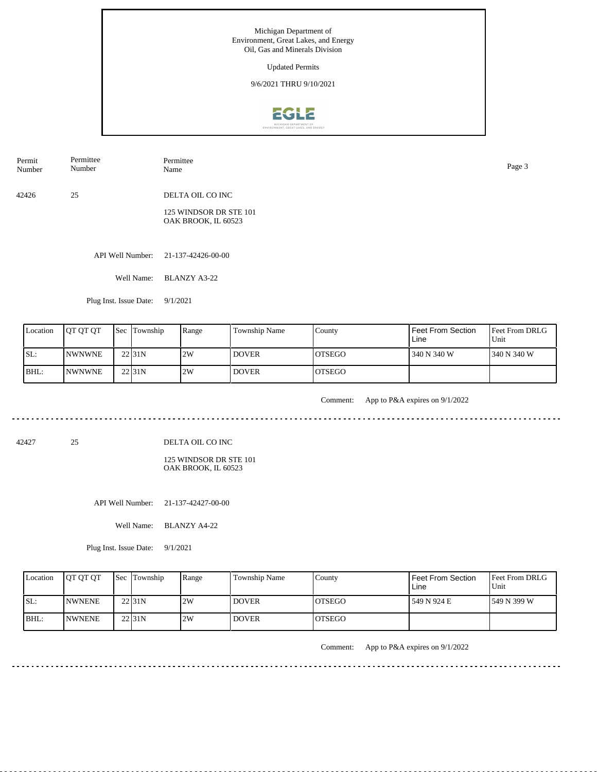

42426 25 DELTA OIL CO INC Permit Number Permittee Number Permittee Name Page 3

> 125 WINDSOR DR STE 101 OAK BROOK, IL 60523

API Well Number: 21-137-42426-00-00

Well Name: BLANZY A3-22

Plug Inst. Issue Date: 9/1/2021

| Location | <b>IOT OT OT</b> | <b>Sec Township</b> | Range | Township Name | County         | Feet From Section<br>Line | <b>Feet From DRLG</b><br>Unit |
|----------|------------------|---------------------|-------|---------------|----------------|---------------------------|-------------------------------|
| SL:      | <b>INWNWNE</b>   | $22$  31N           | 2W    | <b>DOVER</b>  | <b>OTSEGO</b>  | 340 N 340 W               | 1340 N 340 W                  |
| IBHL:    | <b>INWNWNE</b>   | 22 <sub>131</sub> N | 2W    | <b>DOVER</b>  | <b>IOTSEGO</b> |                           |                               |

<u>. . . . . . . . .</u>

Comment: App to P&A expires on 9/1/2022

الدامات ماما ماما ما

<u>. . . . . . . . .</u>

42427 25

DELTA OIL CO INC

125 WINDSOR DR STE 101 OAK BROOK, IL 60523

API Well Number: 21-137-42427-00-00

Well Name: BLANZY A4-22

Plug Inst. Issue Date: 9/1/2021

| Location | <b>JOT OT OT</b> | <b>Sec Township</b> | Range | <b>Township Name</b> | Countv         | Feet From Section<br>Line | <b>Feet From DRLG</b><br>Unit |
|----------|------------------|---------------------|-------|----------------------|----------------|---------------------------|-------------------------------|
| SL:      | <b>INWNENE</b>   | 22 <sub>31N</sub>   | 2W    | <b>DOVER</b>         | <b>IOTSEGO</b> | 549 N 924 E               | 1549 N 399 W                  |
| IBHL:    | <b>INWNENE</b>   | 22 <sub>31N</sub>   | 2W    | <b>DOVER</b>         | <b>IOTSEGO</b> |                           |                               |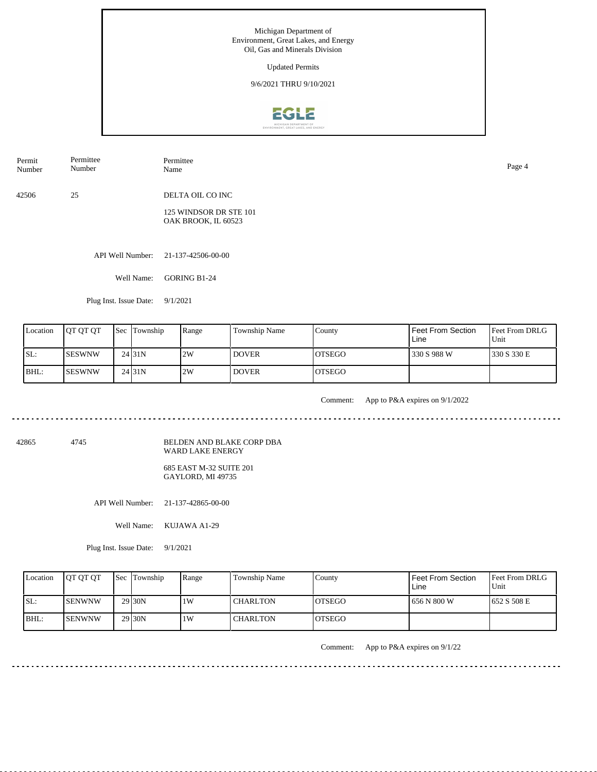Updated Permits

9/6/2021 THRU 9/10/2021



42506 25 DELTA OIL CO INC Permit Number Permittee Number Permittee Name Page 4

> 125 WINDSOR DR STE 101 OAK BROOK, IL 60523

API Well Number: 21-137-42506-00-00

Well Name: GORING B1-24

Plug Inst. Issue Date: 9/1/2021

| Location | <b>OT OT OT</b> | <b>Sec Township</b> | Range | Township Name | County         | Feet From Section<br>Line | <b>Feet From DRLG</b><br>Unit |
|----------|-----------------|---------------------|-------|---------------|----------------|---------------------------|-------------------------------|
| SL:      | ISESWNW         | 24 <sub>131</sub> N | 2W    | <b>DOVER</b>  | IOTSEGO        | 330 S 988 W               | 1330 S 330 E                  |
| BHL:     | ISESWNW         | 24 31N              | 2W    | <b>DOVER</b>  | <b>IOTSEGO</b> |                           |                               |

<u>. . . . . . . . . .</u>

Comment: App to P&A expires on 9/1/2022

<u>. . . . . . . . . . . . .</u>

42865 4745

BELDEN AND BLAKE CORP DBA WARD LAKE ENERGY 685 EAST M-32 SUITE 201

GAYLORD, MI 49735

API Well Number: 21-137-42865-00-00

Well Name: KUJAWA A1-29

Plug Inst. Issue Date: 9/1/2021

| Location | <b>IOT OT OT</b> | <b>Sec Township</b> | Range | <b>Township Name</b> | County         | Feet From Section<br>Line | <b>Feet From DRLG</b><br>Unit |
|----------|------------------|---------------------|-------|----------------------|----------------|---------------------------|-------------------------------|
| SL:      | ISENWNW          | 29 <sub>130</sub> N | 1 W   | <b>CHARLTON</b>      | <b>IOTSEGO</b> | l 656 N 800 W             | 1652 S 508 E                  |
| BHL:     | ISENWNW          | 29 30N              | 1 W   | <b>CHARLTON</b>      | <b>IOTSEGO</b> |                           |                               |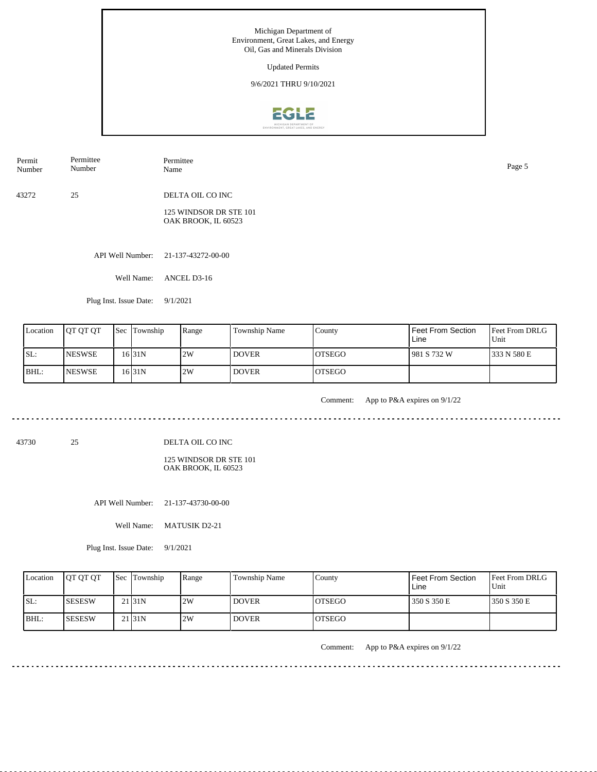

43272 25 DELTA OIL CO INC Permit Number Permittee Number Permittee Name Page 5

> 125 WINDSOR DR STE 101 OAK BROOK, IL 60523

API Well Number: 21-137-43272-00-00

Well Name: ANCEL D3-16

Plug Inst. Issue Date: 9/1/2021

| Location | <b>OT OT OT</b> | <b>Sec Township</b> | Range | Township Name | County         | Feet From Section<br>Line | Feet From DRLG<br>Unit |
|----------|-----------------|---------------------|-------|---------------|----------------|---------------------------|------------------------|
| SL:      | <b>INESWSE</b>  | 16 31 N             | 2W    | <b>DOVER</b>  | IOTSEGO        | 981 S 732 W               | 333 N 580 E            |
| IBHL:    | <b>INESWSE</b>  | 16 31 N             | 2W    | <b>DOVER</b>  | <b>IOTSEGO</b> |                           |                        |

. . . . . . .

Comment: App to P&A expires on 9/1/22

43730 25

DELTA OIL CO INC

125 WINDSOR DR STE 101 OAK BROOK, IL 60523

API Well Number: 21-137-43730-00-00

Well Name: MATUSIK D2-21

Plug Inst. Issue Date: 9/1/2021

| Location | <b>IOT OT OT</b> | <b>Sec Township</b> | Range | <b>Township Name</b> | County         | Feet From Section<br>Line | <b>Feet From DRLG</b><br>Unit |
|----------|------------------|---------------------|-------|----------------------|----------------|---------------------------|-------------------------------|
| SL:      | ISESESW          | 21131N              | 2W    | <b>DOVER</b>         | <b>IOTSEGO</b> | 350 S 350 E               | 1350 S 350 E                  |
| IBHL:    | <b>SESESW</b>    | 21131N              | 2W    | <b>DOVER</b>         | <b>IOTSEGO</b> |                           |                               |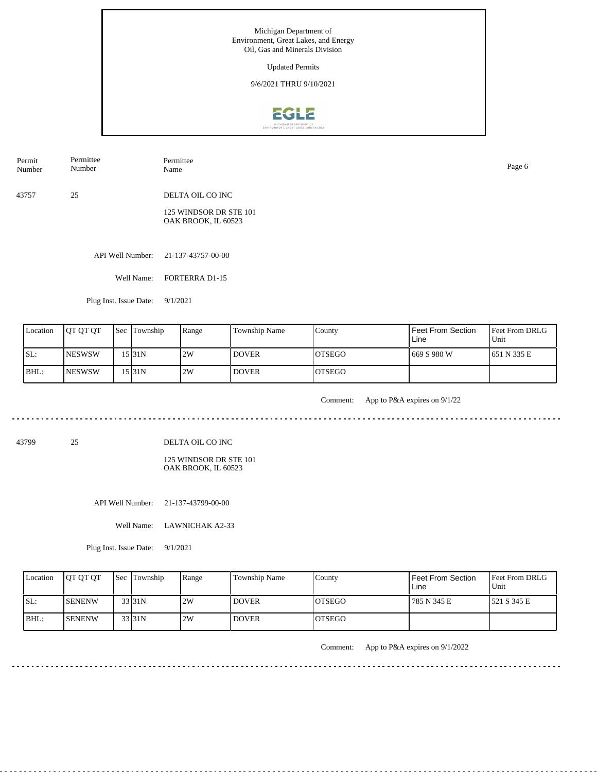

43757 25 DELTA OIL CO INC Permit Number Permittee Number Permittee Name Page 6

> 125 WINDSOR DR STE 101 OAK BROOK, IL 60523

API Well Number: 21-137-43757-00-00

Well Name: FORTERRA D1-15

Plug Inst. Issue Date: 9/1/2021

| Location | <b>IOT OT OT</b> | <b>Sec</b> Township | Range | Township Name | County         | <b>Feet From Section</b><br>Line | <b>Feet From DRLG</b><br>Unit |
|----------|------------------|---------------------|-------|---------------|----------------|----------------------------------|-------------------------------|
| SL:      | <b>INESWSW</b>   | 15 31 N             | 2W    | <b>DOVER</b>  | IOTSEGO        | 669 S 980 W                      | 1651 N 335 E                  |
| BHL:     | <b>INESWSW</b>   | 15 I 31 N           | 2W    | <b>DOVER</b>  | <b>IOTSEGO</b> |                                  |                               |

. . . . . . .

Comment: App to P&A expires on 9/1/22

الدامات ما ما ما ما ما ما

<u>. . . . . . . .</u>

43799 25

DELTA OIL CO INC

125 WINDSOR DR STE 101 OAK BROOK, IL 60523

API Well Number: 21-137-43799-00-00

Well Name: LAWNICHAK A2-33

Plug Inst. Issue Date: 9/1/2021

| Location | <b>OT OT OT</b> | <b>Sec Township</b> | Range | <b>Township Name</b> | County         | Feet From Section<br>Line | <b>Feet From DRLG</b><br>Unit |
|----------|-----------------|---------------------|-------|----------------------|----------------|---------------------------|-------------------------------|
| SL:      | <b>ISENENW</b>  | 33 31N              | 2W    | <b>DOVER</b>         | IOTSEGO        | 785 N 345 E               | 1521 S 345 E                  |
| BHL:     | <b>ISENENW</b>  | 33 31N              | 2W    | <b>DOVER</b>         | <b>IOTSEGO</b> |                           |                               |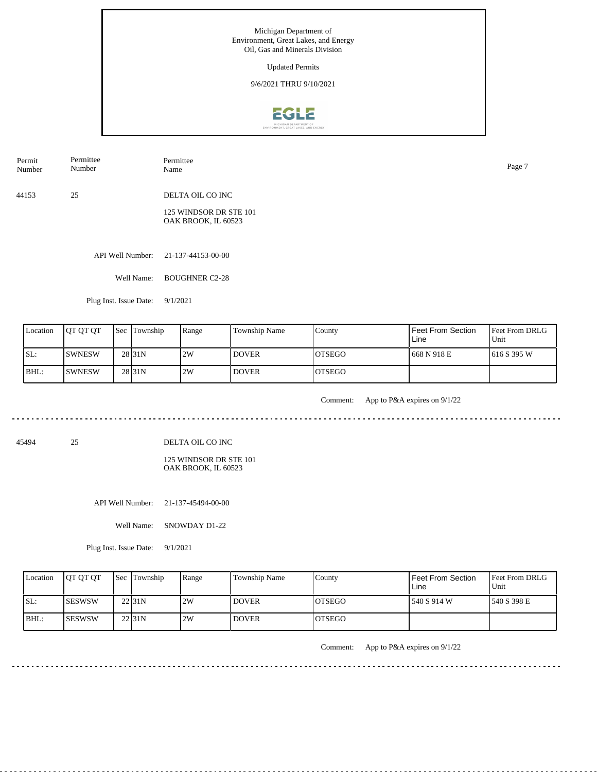Updated Permits

9/6/2021 THRU 9/10/2021



44153 25 DELTA OIL CO INC 125 WINDSOR DR STE 101 Permit Number Permittee Number Permittee Name Page 7

API Well Number: 21-137-44153-00-00

Well Name: BOUGHNER C2-28

OAK BROOK, IL 60523

Plug Inst. Issue Date: 9/1/2021

| Location | <b>OT OT OT</b> | <b>Sec Township</b> | Range | Township Name | County         | <b>Feet From Section</b><br>Line | Feet From DRLG<br>Unit |
|----------|-----------------|---------------------|-------|---------------|----------------|----------------------------------|------------------------|
| SL:      | <b>ISWNESW</b>  | 28 <sub>131</sub> N | 2W    | <b>DOVER</b>  | IOTSEGO        | 668 N 918 E                      | 1616 S 395 W           |
| BHL:     | <b>ISWNESW</b>  | 28 <sub>31N</sub>   | 2W    | <b>DOVER</b>  | <b>IOTSEGO</b> |                                  |                        |

. . . . . . .

Comment: App to P&A expires on 9/1/22

45494 25

DELTA OIL CO INC

125 WINDSOR DR STE 101 OAK BROOK, IL 60523

API Well Number: 21-137-45494-00-00

Well Name: SNOWDAY D1-22

Plug Inst. Issue Date: 9/1/2021

| Location | <b>JOT OT OT</b> | <b>Sec Township</b> | Range | <b>Township Name</b> | County         | Feet From Section<br>Line | <b>Feet From DRLG</b><br>Unit |
|----------|------------------|---------------------|-------|----------------------|----------------|---------------------------|-------------------------------|
| SL:      | ISESWSW          | 22 <sub>31N</sub>   | 2W    | <b>DOVER</b>         | <b>IOTSEGO</b> | 540 S 914 W               | 1540 S 398 E                  |
| IBHL:    | ISESWSW          | $22$ <sub>31N</sub> | 2W    | <b>DOVER</b>         | <b>IOTSEGO</b> |                           |                               |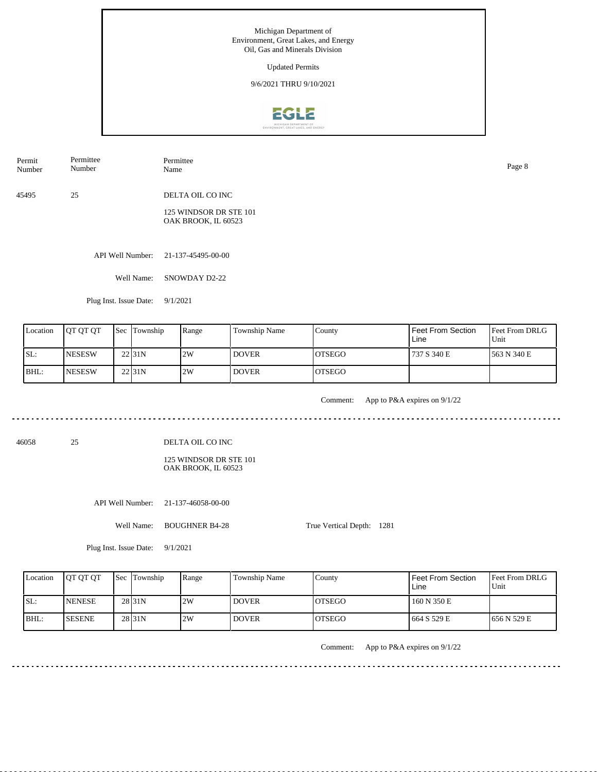Updated Permits

9/6/2021 THRU 9/10/2021



45495 25 Permit Number Permittee Number Permittee Name Page 8

DELTA OIL CO INC 125 WINDSOR DR STE 101

OAK BROOK, IL 60523

API Well Number: 21-137-45495-00-00

Well Name: SNOWDAY D2-22

Plug Inst. Issue Date: 9/1/2021

| Location | <b>IOT OT OT</b> | <b>Sec Township</b> | Range | Township Name | County         | <b>Feet From Section</b><br>Line | <b>Feet From DRLG</b><br>Unit |
|----------|------------------|---------------------|-------|---------------|----------------|----------------------------------|-------------------------------|
| ISL:     | <b>NESESW</b>    | 22 <sub>31N</sub>   | 2W    | <b>DOVER</b>  | IOTSEGO        | 737 S 340 E                      | 1563 N 340 E                  |
| BHL:     | <b>INESESW</b>   | 22 <sub>131</sub> N | 2W    | <b>DOVER</b>  | <b>IOTSEGO</b> |                                  |                               |

. . . . . . .

Comment: App to P&A expires on 9/1/22

. . . . . . . . . . . .

46058 25

DELTA OIL CO INC

125 WINDSOR DR STE 101 OAK BROOK, IL 60523

API Well Number: 21-137-46058-00-00

Well Name: BOUGHNER B4-28

True Vertical Depth: 1281

Plug Inst. Issue Date: 9/1/2021

| Location | <b>IOT OT OT</b> | <b>Sec Township</b> | Range | Township Name | County         | <b>Feet From Section</b><br>Line | <b>Feet From DRLG</b><br>Unit |
|----------|------------------|---------------------|-------|---------------|----------------|----------------------------------|-------------------------------|
| SL:      | <b>INENESE</b>   | 28 <sub>31N</sub>   | 2W    | <b>DOVER</b>  | IOTSEGO        | 160 N 350 E                      |                               |
| IBHL:    | <b>SESENE</b>    | 28 <sub>31N</sub>   | 2W    | <b>DOVER</b>  | <b>IOTSEGO</b> | 664 S 529 E                      | 1656 N 529 E                  |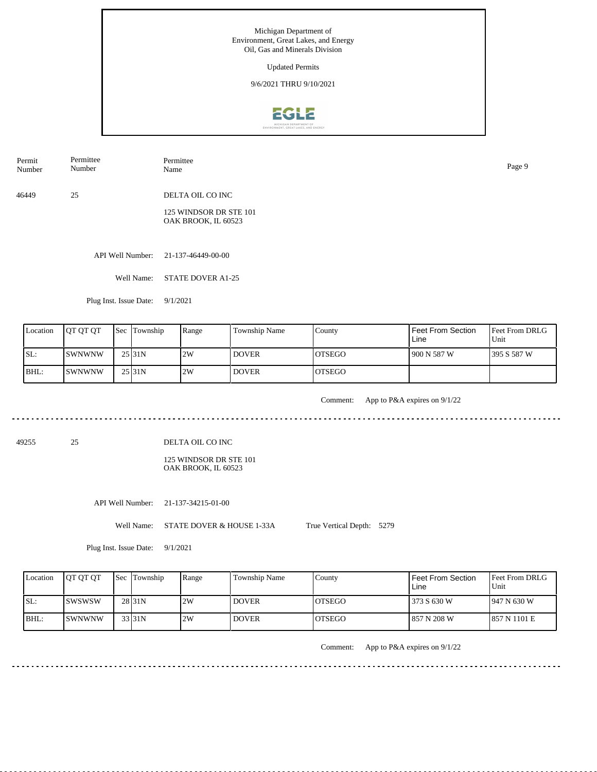Updated Permits

9/6/2021 THRU 9/10/2021



Permit Number Permittee Number Permittee Name Page 9

46449 25 DELTA OIL CO INC

> 125 WINDSOR DR STE 101 OAK BROOK, IL 60523

API Well Number: 21-137-46449-00-00

Well Name: STATE DOVER A1-25

Plug Inst. Issue Date: 9/1/2021

| Location | <b>OT OT OT</b>       | <b>Sec</b> Township | Range | Township Name | County         | Feet From Section<br>Line | <b>Feet From DRLG</b><br>Unit |
|----------|-----------------------|---------------------|-------|---------------|----------------|---------------------------|-------------------------------|
| SL:      | <b>ISWNWNW</b>        | 25131N              | 2W    | <b>DOVER</b>  | IOTSEGO        | 1 900 N 587 W             | 1395 S 587 W                  |
| BHL:     | <i><b>ISWNWNW</b></i> | 25 <sub>131</sub> N | 2W    | <b>DOVER</b>  | <b>IOTSEGO</b> |                           |                               |

. . . . . . .

Comment: App to P&A expires on 9/1/22

. . . . . . . . . . . .

49255 25

DELTA OIL CO INC

125 WINDSOR DR STE 101 OAK BROOK, IL 60523

API Well Number: 21-137-34215-01-00

Well Name: STATE DOVER & HOUSE 1-33A

True Vertical Depth: 5279

Plug Inst. Issue Date: 9/1/2021

| Location | <b>JOT OT OT</b> | <b>Sec Township</b> | Range | <b>Township Name</b> | County         | l Feet From Section .<br>Line | <b>I</b> Feet From DRLG<br>Unit |
|----------|------------------|---------------------|-------|----------------------|----------------|-------------------------------|---------------------------------|
| SL:      | <b>ISWSWSW</b>   | 28 <sub>131</sub> N | 2W    | <b>DOVER</b>         | <b>IOTSEGO</b> | 1373 S 630 W                  | $1947 N$ 630 W                  |
| BHL:     | ISWNWNW          | 33 31N              | 2W    | <b>DOVER</b>         | <b>LOTSEGO</b> | l 857 N 208 W                 | 1857 N 1101 E                   |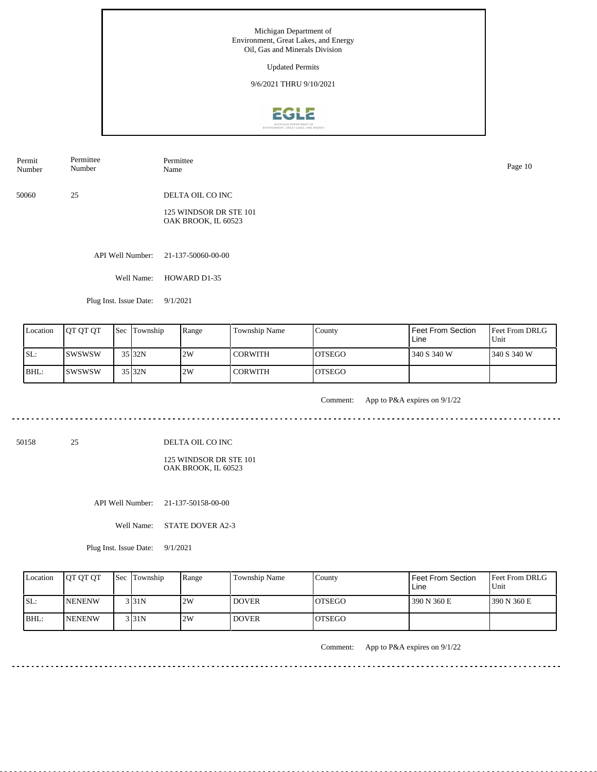Updated Permits

9/6/2021 THRU 9/10/2021



50060 25 DELTA OIL CO INC Permit Number Permittee Number Permittee Name Page 10

> 125 WINDSOR DR STE 101 OAK BROOK, IL 60523

API Well Number: 21-137-50060-00-00

Well Name: HOWARD D1-35

Plug Inst. Issue Date: 9/1/2021

| Location | <b>IOT OT OT</b> | <b>Sec</b> Township | Range | Township Name  | County         | <b>Feet From Section</b><br>Line | Feet From DRLG<br>Unit |
|----------|------------------|---------------------|-------|----------------|----------------|----------------------------------|------------------------|
| ISL:     | <b>ISWSWSW</b>   | $35$ 32N            | 2W    | <b>CORWITH</b> | IOTSEGO        | 340 S 340 W                      | 340 S 340 W            |
| BHL:     | <b>ISWSWSW</b>   | 35 32N              | 2W    | <b>CORWITH</b> | <b>IOTSEGO</b> |                                  |                        |

. . . . . . .

Comment: App to P&A expires on 9/1/22  $\sim$   $\sim$ 

50158 25

DELTA OIL CO INC

125 WINDSOR DR STE 101 OAK BROOK, IL 60523

API Well Number: 21-137-50158-00-00

Well Name: STATE DOVER A2-3

Plug Inst. Issue Date: 9/1/2021

| Location | <b>OT OT OT</b> | Sec Township | Range | Township Name | County         | Feet From Section<br>Line | Feet From DRLG<br>Unit |
|----------|-----------------|--------------|-------|---------------|----------------|---------------------------|------------------------|
| ISL:     | <b>INENENW</b>  | 3 3 1 N      | 2W    | <b>DOVER</b>  | <b>IOTSEGO</b> | 390 N 360 E               | 1390 N 360 E           |
| BHL:     | <b>INENENW</b>  | 3 3 1 N      | 2W    | <b>DOVER</b>  | <b>IOTSEGO</b> |                           |                        |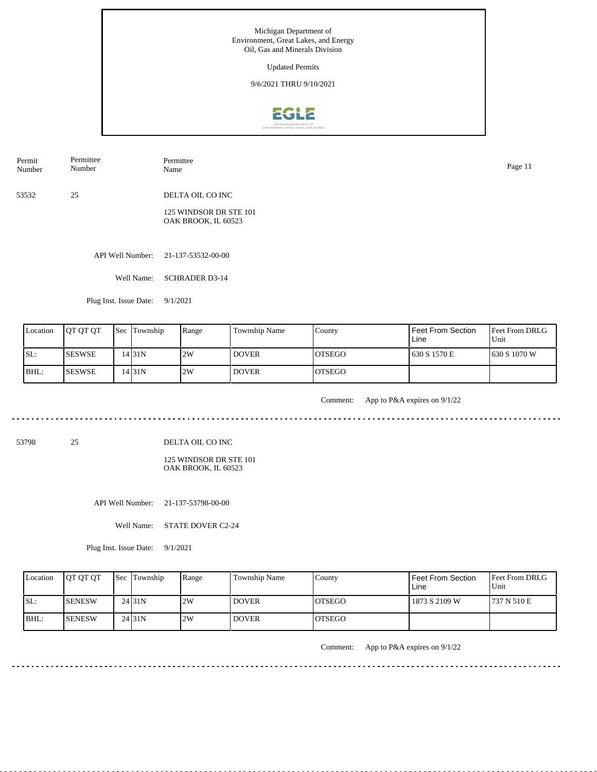

53532 25 DELTA OIL CO INC Permit Number Permittee Number Permittee Name Page 11

> 125 WINDSOR DR STE 101 OAK BROOK, IL 60523

API Well Number: 21-137-53532-00-00

Well Name: SCHRADER D3-14

Plug Inst. Issue Date: 9/1/2021

| Location | <b>IOT OT OT</b> | <b>Sec</b> Township | Range | Township Name | County         | <b>Feet From Section</b><br>Line | <b>Feet From DRLG</b><br>Unit |
|----------|------------------|---------------------|-------|---------------|----------------|----------------------------------|-------------------------------|
| ISL:     | <b>ISESWSE</b>   | 14 31 N             | 2W    | <b>DOVER</b>  | IOTSEGO        | 630 S 1570 E                     | 1630 S 1070 W                 |
| BHL:     | <b>ISESWSE</b>   | 14 31 N             | 2W    | <b>DOVER</b>  | <b>IOTSEGO</b> |                                  |                               |

. . . . . . .

Comment: App to P&A expires on 9/1/22

ت با با با با با با

53798 25

DELTA OIL CO INC

125 WINDSOR DR STE 101 OAK BROOK, IL 60523

API Well Number: 21-137-53798-00-00

Well Name: STATE DOVER C2-24

Plug Inst. Issue Date: 9/1/2021

| Location | <b>IOT OT OT</b> | <b>Sec Township</b> | Range | Township Name | County         | l Feet From Section<br>Line | <b>Feet From DRLG</b><br>Unit |
|----------|------------------|---------------------|-------|---------------|----------------|-----------------------------|-------------------------------|
| SL:      | ISENESW          | 24 <sub>131</sub> N | 2W    | <b>DOVER</b>  | IOTSEGO        | 1873 S 2109 W               | 1737 N 510 E                  |
| IBHL:    | <b>ISENESW</b>   | 24131N              | 2W    | <b>DOVER</b>  | <b>IOTSEGO</b> |                             |                               |

Comment: App to P&A expires on 9/1/22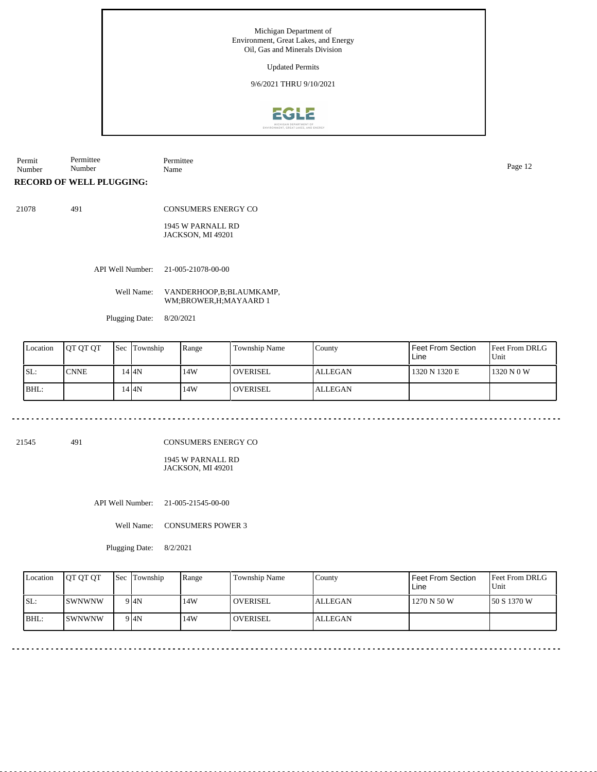Updated Permits

9/6/2021 THRU 9/10/2021



Permit Number Permittee Number Permittee Name Page 12

**RECORD OF WELL PLUGGING:**

21078 491

CONSUMERS ENERGY CO 1945 W PARNALL RD

JACKSON, MI 49201

API Well Number: 21-005-21078-00-00

Well Name: VANDERHOOP,B;BLAUMKAMP, WM;BROWER,H;MAYAARD 1

Plugging Date: 8/20/2021

| Location | <b>OT OT OT</b> | Sec | Township | Range | Township Name | County         | Feet From Section<br>Line | <b>Feet From DRLG</b><br>Unit |
|----------|-----------------|-----|----------|-------|---------------|----------------|---------------------------|-------------------------------|
| ISL:     | <b>CNNE</b>     |     | 14 I 4 N | 14W   | l overisel    | <b>ALLEGAN</b> | 1320 N 1320 E             | 1320 N 0 W                    |
| BHL:     |                 |     | 14 I 4 N | 14W   | l overisel    | <b>ALLEGAN</b> |                           |                               |

21545 491

CONSUMERS ENERGY CO

1945 W PARNALL RD JACKSON, MI 49201

API Well Number: 21-005-21545-00-00

Well Name: CONSUMERS POWER 3

Plugging Date: 8/2/2021

|      | Location | <b>OT OT OT</b> | <b>Sec</b> Township | Range | Township Name   | Countv  | Feet From Section<br>Line | <b>Feet From DRLG</b><br>Unit |
|------|----------|-----------------|---------------------|-------|-----------------|---------|---------------------------|-------------------------------|
| SL:  |          | ISWNWNW         | 9 IAN               | 14W   | <b>OVERISEL</b> | ALLEGAN | 1270 N 50 W               | 150 S 1370 W                  |
| BHL: |          | ISWNWNW         | 9 <sup>4N</sup>     | .14W  | <b>OVERISEL</b> | ALLEGAN |                           |                               |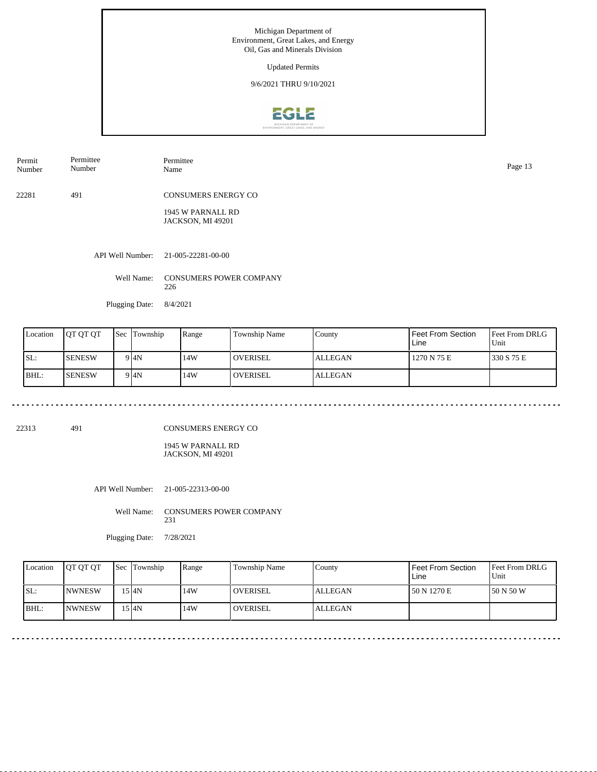Updated Permits

9/6/2021 THRU 9/10/2021



API Well Number: 21-005-22281-00-00 22281 491 CONSUMERS ENERGY CO 1945 W PARNALL RD JACKSON, MI 49201 Permit Number Permittee Number Permittee Page 13<br>Name Page 13

Well Name: CONSUMERS POWER COMPANY 226

Plugging Date: 8/4/2021

| Location | <b>IOT OT OT</b> | <b>Sec Township</b> | Range | <b>Township Name</b> | County         | Feet From Section<br>Line | <b>Feet From DRLG</b><br>Unit |
|----------|------------------|---------------------|-------|----------------------|----------------|---------------------------|-------------------------------|
| ISL:     | <b>SENESW</b>    | 9 4N                | 14W   | l overisel           | <b>ALLEGAN</b> | 1270 N 75 E               | 1330 S 75 E                   |
| BHL:     | <b>SENESW</b>    | 9I4N                | 14W   | <b>OVERISEL</b>      | <b>ALLEGAN</b> |                           |                               |

22313 491

. . . . . . . . .

CONSUMERS ENERGY CO

1945 W PARNALL RD JACKSON, MI 49201

API Well Number: 21-005-22313-00-00

Well Name: CONSUMERS POWER COMPANY 231

Plugging Date: 7/28/2021

| Location | <b>JOT OT OT</b> | <b>Sec Township</b> | Range | Township Name     | County         | Feet From Section<br>Line | <b>Feet From DRLG</b><br>Unit |
|----------|------------------|---------------------|-------|-------------------|----------------|---------------------------|-------------------------------|
| SL:      | <b>INWNESW</b>   | 15 I4N              | 14W   | <b>I</b> OVERISEL | <b>ALLEGAN</b> | 150 N 1270 E              | 150 N 50 W                    |
| IBHL:    | <b>INWNESW</b>   | 15 I4N              | 14W   | <b>I</b> OVERISEL | <b>ALLEGAN</b> |                           |                               |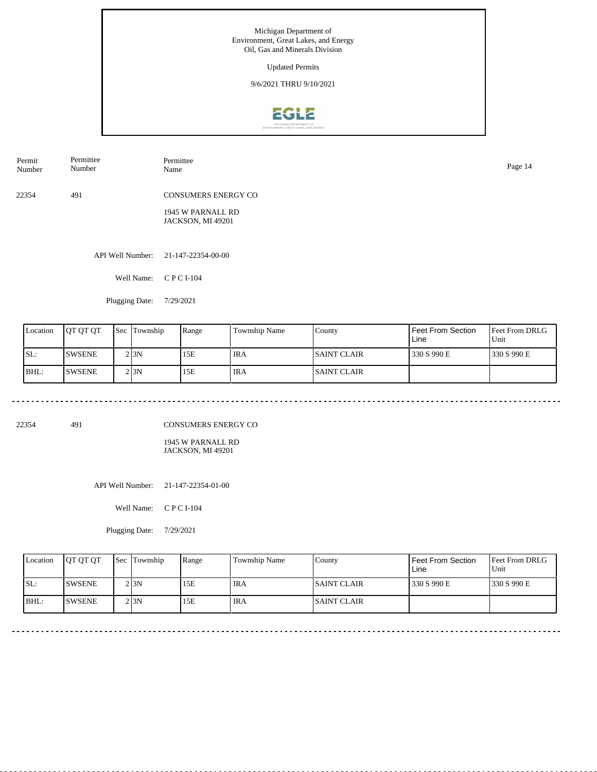

API Well Number: 21-147-22354-00-00 22354 491 CONSUMERS ENERGY CO 1945 W PARNALL RD JACKSON, MI 49201 Permit Number Permittee Number Permittee Name Page 14

Well Name: C P C I-104

Plugging Date: 7/29/2021

| Location | <b>IOT OT OT</b> | Sec | Township | Range | Township Name | County              | Feet From Section<br>Line | Feet From DRLG<br>Unit |
|----------|------------------|-----|----------|-------|---------------|---------------------|---------------------------|------------------------|
| SL:      | <b>SWSENE</b>    |     | 2 I 3 N  | 15E   | ' IRA         | <b>ISAINT CLAIR</b> | 330 S 990 E               | 1330 S 990 E           |
| BHL:     | <b>SWSENE</b>    |     | 2 I 3 N  | 15E   | ' IRA         | <b>ISAINT CLAIR</b> |                           |                        |

22354 491

CONSUMERS ENERGY CO

1945 W PARNALL RD JACKSON, MI 49201

API Well Number: 21-147-22354-01-00

Well Name: C P C I-104

Plugging Date: 7/29/2021

| Location | <b>OT OT OT</b> | <b>Sec Township</b> | Range | Township Name | Countv              | Feet From Section<br>Line | <b>Feet From DRLG</b><br>Unit |
|----------|-----------------|---------------------|-------|---------------|---------------------|---------------------------|-------------------------------|
| SL:      | <b>ISWSENE</b>  | 2 I 3 N             | 15E   | <b>IRA</b>    | <b>ISAINT CLAIR</b> | 330 S 990 E               | 1330 S 990 E                  |
| BHL:     | <b>ISWSENE</b>  | 2 I 3 N             | 15E   | ' IRA         | <b>ISAINT CLAIR</b> |                           |                               |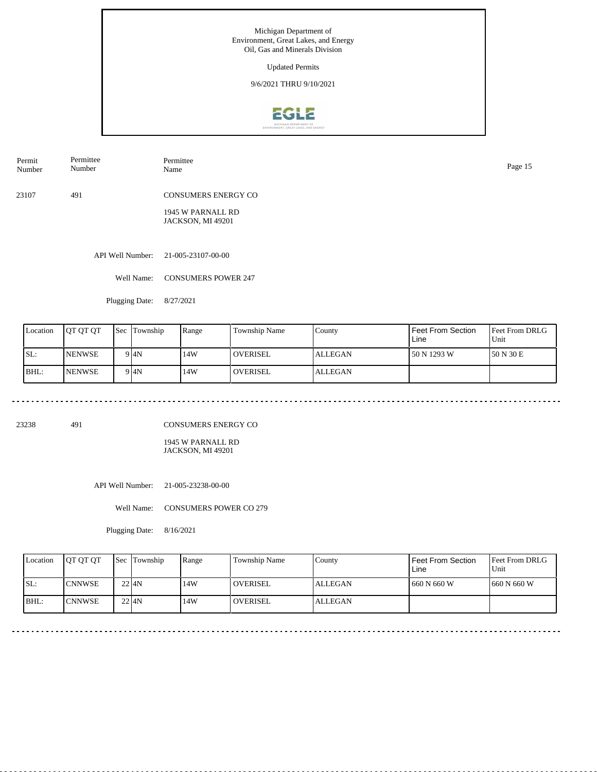Updated Permits

9/6/2021 THRU 9/10/2021



Permit Number Permittee Number Permittee Name Page 15

23107 491 CONSUMERS ENERGY CO

> 1945 W PARNALL RD JACKSON, MI 49201

API Well Number: 21-005-23107-00-00

Well Name: CONSUMERS POWER 247

Plugging Date: 8/27/2021

| Location | <b>IOT OT OT</b> | <b>Sec</b> | Township | Range | Township Name | County         | Feet From Section<br>Line | <b>Feet From DRLG</b><br>Unit |
|----------|------------------|------------|----------|-------|---------------|----------------|---------------------------|-------------------------------|
| ISL:     | <b>NENWSE</b>    |            | 9 I4N    | 14W   | l overisel    | <b>ALLEGAN</b> | 50 N 1293 W               | 150 N 30 E                    |
| BHL:     | <b>NENWSE</b>    |            | 9 I4N    | 14W   | l overisel    | <b>ALLEGAN</b> |                           |                               |

23238 491

CONSUMERS ENERGY CO

1945 W PARNALL RD JACKSON, MI 49201

API Well Number: 21-005-23238-00-00

Well Name: CONSUMERS POWER CO 279

Plugging Date: 8/16/2021

| Location | <b>IOT OT OT</b> | <b>Sec</b> Township | Range | <b>Township Name</b> | County  | Feet From Section<br>Line | <b>Feet From DRLG</b><br>Unit |
|----------|------------------|---------------------|-------|----------------------|---------|---------------------------|-------------------------------|
| SL:      | <b>ICNNWSE</b>   | $22$ $4N$           | 14W   | <b>OVERISEL</b>      | ALLEGAN | 660 N 660 W               | 1660 N 660 W                  |
| $ BHL$ : | <b>CNNWSE</b>    | $22$ $4N$           | 14W   | <b>OVERISEL</b>      | ALLEGAN |                           |                               |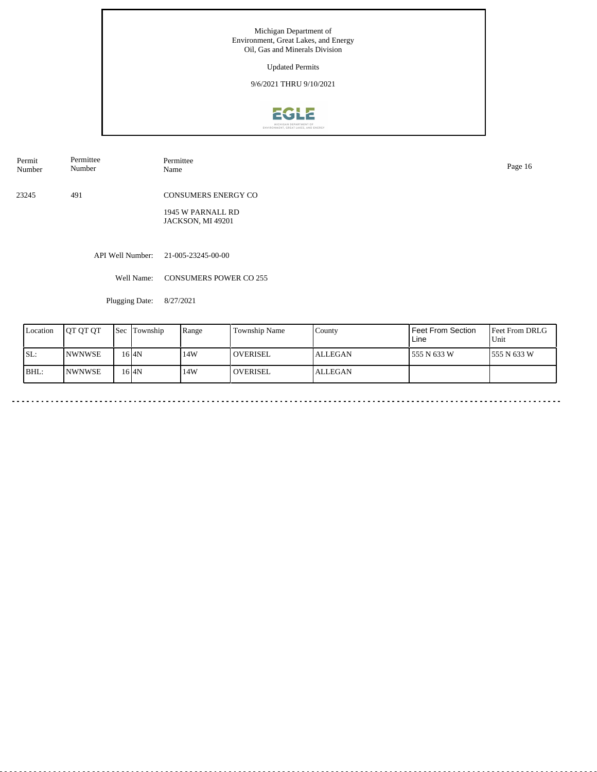Updated Permits

9/6/2021 THRU 9/10/2021



Permit Number Permittee Number Permittee<br>Name

23245 491 CONSUMERS ENERGY CO

> 1945 W PARNALL RD JACKSON, MI 49201

API Well Number: 21-005-23245-00-00

Well Name: CONSUMERS POWER CO 255

Plugging Date: 8/27/2021

| Location | <b>JOT OT OT</b> | <b>Sec</b> | Township | Range | <b>Township Name</b> | County         | l Feet From Section<br>Line | <b>Feet From DRLG</b><br>Unit |
|----------|------------------|------------|----------|-------|----------------------|----------------|-----------------------------|-------------------------------|
| SL:      | <b>INWNWSE</b>   |            | 16 AN    | 14W   | l overisel           | <b>ALLEGAN</b> | 555 N 633 W                 | 1555 N 633 W                  |
| BHL:     | <b>INWNWSE</b>   |            | 16 I4N   | 14W   | <b>LOVERISEL</b>     | <b>ALLEGAN</b> |                             |                               |

Name Page 16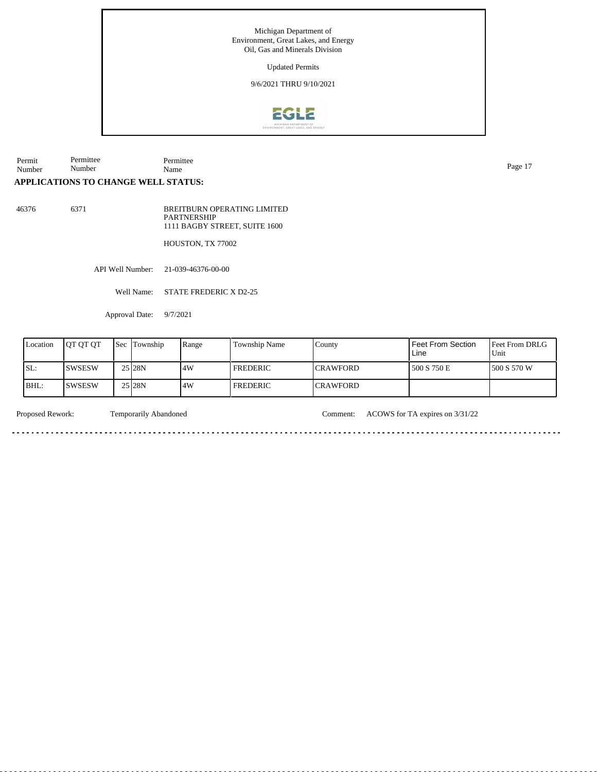Updated Permits

9/6/2021 THRU 9/10/2021



Permit Number Permittee Number Permittee Name Page 17

## **APPLICATIONS TO CHANGE WELL STATUS:**

46376 6371

BREITBURN OPERATING LIMITED PARTNERSHIP 1111 BAGBY STREET, SUITE 1600

HOUSTON, TX 77002

<u>. . . . . . . . . . . . . . . . .</u>

API Well Number: 21-039-46376-00-00

Well Name: STATE FREDERIC X D2-25

Approval Date: 9/7/2021

| Location | <b>IOT OT OT</b> | Sec | Township           | Range | <b>Township Name</b> | County           | l Feet From Section<br>Line | Feet From DRLG<br>Unit |
|----------|------------------|-----|--------------------|-------|----------------------|------------------|-----------------------------|------------------------|
| SL:      | <b>SWSESW</b>    |     | 25 <sub>128N</sub> | 4W    | l FREDERIC           | <b>ICRAWFORD</b> | 1500 S 750 E                | 1500 S 570 W           |
| BHL:     | <b>SWSESW</b>    |     | 25 <sub>128N</sub> | 4W    | <b>FREDERIC</b>      | <b>ICRAWFORD</b> |                             |                        |

<u>. . . . . .</u>

<u>. . . . . . . .</u>

. . . . . . . . . . . . .

Proposed Rework: Temporarily Abandoned Comment: ACOWS for TA expires on  $3/31/22$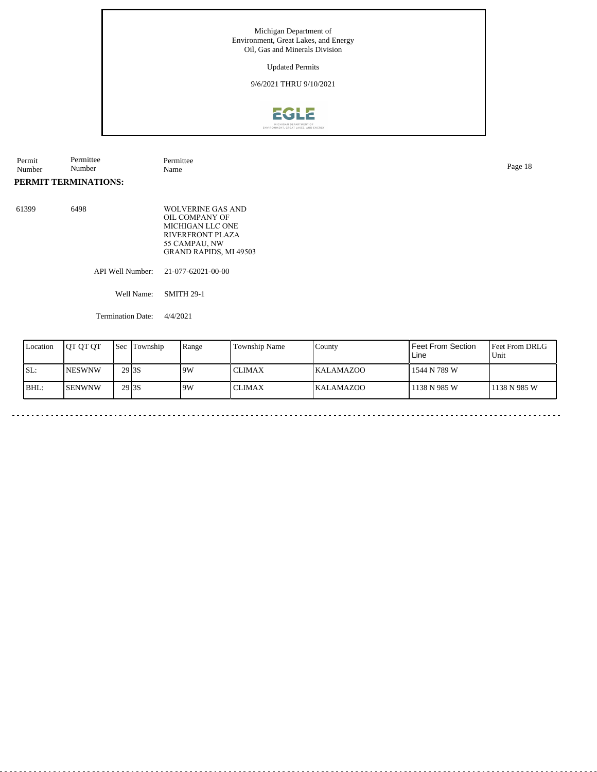### Updated Permits

## 9/6/2021 THRU 9/10/2021



Permit Number Permittee Number Permittee Name

# **PERMIT TERMINATIONS:**

61399

| 6498 | WOLVERINE GAS AND<br>OIL COMPANY OF<br>MICHIGAN LLC ONE<br><b>RIVERFRONT PLAZA</b><br>55 CAMPAU, NW<br><b>GRAND RAPIDS, MI 49503</b> |
|------|--------------------------------------------------------------------------------------------------------------------------------------|
|      | API Well Number: 21-077-62021-00-00                                                                                                  |

Well Name: SMITH 29-1

Termination Date: 4/4/2021

| 29 <sub>3S</sub><br>SL:<br>19W<br><b>CLIMAX</b><br><b>INESWNW</b><br>1544 N 789 W<br><b>KALAMAZOO</b><br>BHL:<br>29 <sub>3S</sub><br>19W<br><b>SENWNW</b><br>1138 N 985 W<br><b>CLIMAX</b><br>l 1138 N 985 W<br><b>KALAMAZOO</b> | Location | <b>OT OT OT</b> | Sec | Township | Range | Township Name | County | Feet From Section<br>Line | Feet From DRLG<br>Unit |
|----------------------------------------------------------------------------------------------------------------------------------------------------------------------------------------------------------------------------------|----------|-----------------|-----|----------|-------|---------------|--------|---------------------------|------------------------|
|                                                                                                                                                                                                                                  |          |                 |     |          |       |               |        |                           |                        |
|                                                                                                                                                                                                                                  |          |                 |     |          |       |               |        |                           |                        |

Page 18

 $\sim$   $\sim$ 

 $\sim$   $\sim$   $\sim$